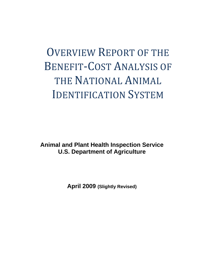# OVERVIEW REPORT OF THE BENEFIT‐COST ANALYSIS OF THE NATIONAL ANIMAL IDENTIFICATION SYSTEM

**Animal and Plant Health Inspection Service U.S. Department of Agriculture** 

**April 2009 (Slightly Revised)**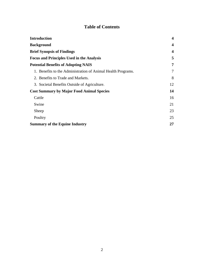## **Table of Contents**

| <b>Introduction</b>                                          | $\boldsymbol{4}$ |
|--------------------------------------------------------------|------------------|
| <b>Background</b>                                            | 4                |
| <b>Brief Synopsis of Findings</b>                            | $\boldsymbol{4}$ |
| <b>Focus and Principles Used in the Analysis</b>             | 5                |
| <b>Potential Benefits of Adopting NAIS</b>                   | 7                |
| 1. Benefits to the Administration of Animal Health Programs. | 7                |
| 2. Benefits to Trade and Markets.                            | 8                |
| 3. Societal Benefits Outside of Agriculture.                 | 12               |
| <b>Cost Summary by Major Food Animal Species</b>             | 14               |
| Cattle                                                       | 16               |
| Swine                                                        | 21               |
| Sheep                                                        | 23               |
| Poultry                                                      | 25               |
| <b>Summary of the Equine Industry</b>                        | 27               |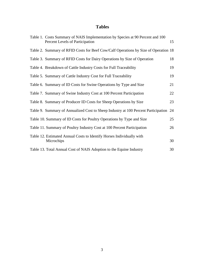## **Tables**

| Table 1. Costs Summary of NAIS Implementation by Species at 90 Percent and 100<br>Percent Levels of Participation | 15 |
|-------------------------------------------------------------------------------------------------------------------|----|
| Table 2. Summary of RFID Costs for Beef Cow/Calf Operations by Size of Operation 18                               |    |
| Table 3. Summary of RFID Costs for Dairy Operations by Size of Operation                                          | 18 |
| Table 4. Breakdown of Cattle Industry Costs for Full Traceability                                                 | 19 |
| Table 5. Summary of Cattle Industry Cost for Full Traceability                                                    | 19 |
| Table 6. Summary of ID Costs for Swine Operations by Type and Size                                                | 21 |
| Table 7. Summary of Swine Industry Cost at 100 Percent Participation                                              | 22 |
| Table 8. Summary of Producer ID Costs for Sheep Operations by Size                                                | 23 |
| Table 9. Summary of Annualized Cost to Sheep Industry at 100 Percent Participation 24                             |    |
| Table 10. Summary of ID Costs for Poultry Operations by Type and Size                                             | 25 |
| Table 11. Summary of Poultry Industry Cost at 100 Percent Participation                                           | 26 |
| Table 12. Estimated Annual Costs to Identify Horses Individually with<br>Microchips                               | 30 |
| Table 13. Total Annual Cost of NAIS Adoption to the Equine Industry                                               | 30 |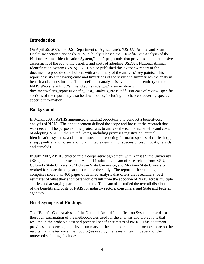## **Introduction**

On April 29, 2009, the U.S. Department of Agriculture's (USDA) Animal and Plant Health Inspection Service (APHIS) publicly released the "Benefit-Cost Analysis of the National Animal Identification System," a 442-page study that provides a comprehensive assessment of the economic benefits and costs of adopting USDA's National Animal Identification System (NAIS). APHIS also published this overview report of the document to provide stakeholders with a summary of the analysis' key points. This report describes the background and limitations of the study and summarizes the analysis' benefit and cost estimates. The benefit-cost analysis is available in its entirety on the NAIS Web site at http://animalid.aphis.usda.gov/nais/naislibrary/ documents/plans\_reports/Benefit\_Cost\_Analysis\_NAIS.pdf. For ease of review, specific sections of the report may also be downloaded, including the chapters covering speciesspecific information.

## **Background**

In March 2007, APHIS announced a funding opportunity to conduct a benefit-cost analysis of NAIS. The announcement defined the scope and focus of the research that was needed. The purpose of the project was to analyze the economic benefits and costs of adopting NAIS in the United States, including premises registration; animal identification systems; and animal movement reporting for major species of cattle, hogs, sheep, poultry, and horses and, to a limited extent, minor species of bison, goats, cervids, and camelids.

In July 2007, APHIS entered into a cooperative agreement with Kansas State University (KSU) to conduct the research. A multi-institutional team of researchers from KSU, Colorado State University, Michigan State University, and Montana State University worked for more than a year to complete the study. The report of their findings comprises more than 400 pages of detailed analysis that offers the researchers' best estimates of what they anticipate would result from the adoption of NAIS across multiple species and at varying participation rates. The team also studied the overall distribution of the benefits and costs of NAIS for industry sectors, consumers, and State and Federal agencies.

## **Brief Synopsis of Findings**

The "Benefit-Cost Analysis of the National Animal Identification System" provides a thorough explanation of the methodologies used for the analysis and projections that resulted in the probable cost and potential benefit estimates of NAIS. This document provides a condensed, high-level summary of the detailed report and focuses more on the results than the technical methodologies used by the research team. Several of the noteworthy findings include: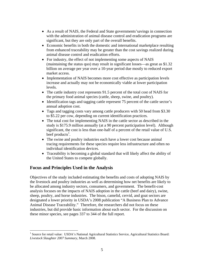- As a result of NAIS, the Federal and State governments'savings in connection with the administration of animal disease control and eradication programs are significant, but they are only part of the overall benefits.
- Economic benefits in both the domestic and international marketplace resulting from enhanced traceability may be greater than the cost savings realized during animal disease control and eradication efforts.
- For industry, the effect of not implementing some aspects of NAIS (maintaining the status quo) may result in significant losses—as great as \$1.32 billion on average per year over a 10-year period due mostly to reduced export market access.
- Implementation of NAIS becomes more cost effective as participation levels increase and actually may not be economically viable at lower participation levels.
- The cattle industry cost represents 91.5 percent of the total cost of NAIS for the primary food animal species (cattle, sheep, swine, and poultry).
- Identification tags and tagging cattle represent 75 percent of the cattle sector's annual adoption cost.
- Tags and tagging costs vary among cattle producers with 50 head from \$3.30 to \$5.22 per cow, depending on current identification practices.
- The total cost for implementing NAIS in the cattle sector as described in the study is \$175.9 million annually (at a 90 percent participation level). Although significant, the cost is less than one-half of a percent of the retail value of U.S. beef products<sup>1</sup>.
- The swine and poultry industries each have a lower cost because animal tracing requirements for these species require less infrastructure and often no individual identification devices.
- Traceability is becoming a global standard that will likely affect the ability of the United States to compete globally.

## **Focus and Principles Used in the Analysis**

 $\overline{a}$ 

Objectives of the study included estimating the benefits and costs of adopting NAIS by the livestock and poultry industries as well as determining how net benefits are likely to be allocated among industry sectors, consumers, and government. The benefit-cost analysis focuses on the impacts of NAIS adoption in the cattle (beef and dairy), swine, sheep, poultry, and horse industries. The bison, camelid, cervid, and goat sectors are designated a lower priority in USDA's 2008 publication "A Business Plan to Advance Animal Disease Traceability." Therefore, the researchers did not focus on these industries, but did provide basic information about each sector. For the discussion on these minor species, see pages 337 to 344 of the full report.

<sup>&</sup>lt;sup>1</sup> Source for retail value: USDA's National Agricultural Statistics Service, Agricultural Statistics Board: *Livestock Slaughter 2007 Summary*, March 2008.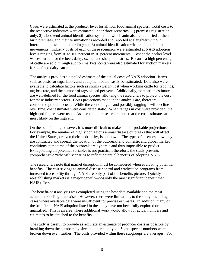Costs were estimated at the producer level for all four food animal species. Total costs to the respective industries were estimated under three scenarios: 1) premises registration only; 2) a bookend animal identification system in which animals are identified at their birth premises, and their termination is recorded and reported at slaughter without intermittent movement recording; and 3) animal identification with tracing of animal movements. Industry costs of each of these scenarios were estimated at NAIS adoption levels ranging from 10 to 100 percent in 10 percent increments. Cost at the packer level was estimated for the beef, dairy, swine, and sheep industries. Because a high percentage of cattle are sold through auction markets, costs were also estimated for auction markets for beef and dairy cattle.

The analysis provides a detailed estimate of the actual costs of NAIS adoption. Items such as costs for tags, labor, and equipment could easily be estimated. Data also were available to calculate factors such as shrink (weight lost when working cattle for tagging), tag loss rate, and the number of tags placed per year. Additionally, population estimates are well-defined for the food animal species, allowing the researchers to project the cost for these industry sectors. Costs projections made in the analysis are, therefore, considered probable costs. While the cost of tags—and possibly tagging—will decline over time, cost estimates were considered static. When ranges in cost were provided, the high-end figures were used. As a result, the researchers note that the cost estimates are most likely on the high end.

On the benefit side, however, it is more difficult to make similar probable projections. For example, the number of highly contagious animal disease outbreaks that will affect the United States, or even their probability, is unknown. The types of diseases, how they are contracted and spread, the location of the outbreak, and domestic and global market conditions at the time of the outbreak are dynamic and thus impossible to predict. Extrapolating all potential variables is not practical; therefore, the study presents comprehensive "what-if" scenarios to reflect potential benefits of adopting NAIS.

The researchers note that market disruption must be considered when evaluating potential benefits. The cost savings to animal disease control and eradication programs from increased traceability through NAIS are only part of the benefits picture. Quickly reestablishing markets is a major benefit—possibly the most significant benefit that NAIS offers.

The benefit-cost analysis was completed using the best data available and the most accurate modeling that exists. However, there were limitations to the study, including cases where available data were insufficient for precise estimates. In addition, many of the benefits of NAIS adoption listed in the study have not been fully explored or quantified. This is an area where additional work would allow for actual numbers and estimates to be attached to the benefits.

The study is careful to provide as accurate an estimate of producer costs as possible by breaking down the numbers by size and operation type. Some species numbers were broken down even further. The costs provided within these subgroups are averages. For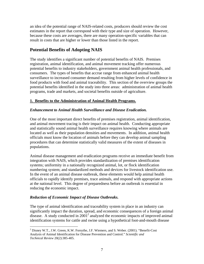an idea of the potential range of NAIS-related costs, producers should review the cost estimates in the report that correspond with their type and size of operation. However, because these costs are averages, there are many operation-specific variables that can result in costs that are higher or lower than those listed in the report.

## **Potential Benefits of Adopting NAIS**

The study identifies a significant number of potential benefits of NAIS. Premises registration, animal identification, and animal movement tracking offer numerous potential benefits to industry stakeholders, government animal health professionals, and consumers. The types of benefits that accrue range from enhanced animal health surveillance to increased consumer demand resulting from higher levels of confidence in food products with food and animal traceability. This section of the overview groups the potential benefits identified in the study into three areas: administration of animal health programs, trade and markets, and societal benefits outside of agriculture.

#### **1. Benefits to the Administration of Animal Health Programs.**

#### *Enhancement to Animal Health Surveillance and Disease Eradication.*

One of the most important direct benefits of premises registration, animal identification, and animal movement tracing is their impact on animal health. Conducting appropriate and statistically sound animal health surveillance requires knowing where animals are located as well as their population densities and movements. In addition, animal health officials must know the location of animals before they can develop animal sampling procedures that can determine statistically valid measures of the extent of diseases in populations.

Animal disease management and eradication programs receive an immediate benefit from integration with NAIS, which provides standardization of premises identification systems; uniformity in a nationally recognized animal, lot, or flock identification numbering system; and standardized methods and devices for livestock identification use. In the event of an animal disease outbreak, these elements would help animal health officials to rapidly identify premises, trace animals, and respond with appropriate actions at the national level. This degree of preparedness before an outbreak is essential in reducing the economic impact.

#### *Reduction of Economic Impact of Disease Outbreaks.*

 $\overline{a}$ 

The type of animal identification and traceability system in place in an industry can significantly impact the duration, spread, and economic consequences of a foreign animal disease. A study conducted in 2001<sup>2</sup> analyzed the economic impacts of improved animal identification systems for cattle and swine using a hypothetical foot-and-mouth disease

 $2^2$  Disney W.T., J.W. Green, K.W. Forsythe, J.F. Wiemers, and S. Weber. (2001). "Benefit-Cost Analysis of Animal Identification for Disease Prevention and Control." *Scientific and Technical Review* 20(2):385-405.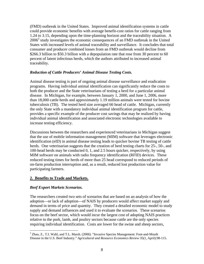(FMD) outbreak in the United States. Improved animal identification systems in cattle could provide economic benefits with average benefit-cost ratios for cattle ranging from 1.24 to 3.15, depending upon the time-planning horizon and the traceability situation. A 2006<sup>3</sup> study investigates the economic consequences of an FMD outbreak in the United States with increased levels of animal traceability and surveillance. It concludes that total consumer and producer combined losses from an FMD outbreak would decline from \$266.3 billion to \$50.3 billion with a depopulation rate that rose from 30 percent to 60 percent of latent infectious herds, which the authors attributed to increased animal traceability.

#### *Reduction of Cattle Producers' Animal Disease Testing Costs.*

Animal disease testing is part of ongoing animal disease surveillance and eradication programs. Having individual animal identification can significantly reduce the costs to both the producer and the State veterinarians of testing a herd for a particular animal disease. In Michigan, for example, between January 1, 2000, and June 1, 2006, more than 18,000 cattle herds and approximately 1.19 million animals were tested for bovine tuberculosis (TB). The tested herd size averaged 66 head of cattle. Michigan, currently the only State with a mandatory individual animal identification program for cattle, provides a specific example of the producer cost savings that may be realized by having individual animal identification and associated electronic technologies available to increase testing efficiency.

Discussions between the researchers and experienced veterinarians in Michigan suggest that the use of mobile information management (MIM) software that leverages electronic identification (eID) in animal disease testing leads to quicker bovine TB testing of cattle herds. One veterinarian suggests that the creation of herd testing charts for 25-, 50-, and 100-head herds may be conducted 0, 1, and 2.5 hours quicker, respectively, by using MIM software on animals with radio frequency identification (RFID) devices. These reduced testing times for herds of more than 25 head correspond to reduced periods of on-farm production interruption and, as a result, reduced lost production value for participating farmers.

#### **2. Benefits to Trade and Markets.**

#### *Beef Export Markets Scenarios.*

The researchers created two sets of scenarios that are based on an analysis of how the adoption—or lack of adoption—of NAIS by producers would affect market supply and demand in terms of price and quantity. They created a detailed economic model to study supply and demand influences and used it to evaluate the scenarios. These scenarios focus on the beef sector, which would incur the largest cost of adopting NAIS practices relative to the pork, lamb, and poultry sectors because cattle are the only species requiring individual identification. Costs are lower for the swine and sheep sectors,

<sup>1</sup> <sup>3</sup> Zhao, Z., T.I. Wahl, and T.L. Marsh. (2006). "Invasive Species Management: Foot-and-Mouth Disease in the U.S. Beef Industry." *Agricultural and Resource Economics Review* 35(1, April):98-115.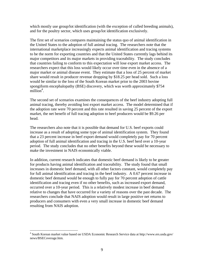which mostly use group/lot identification (with the exception of culled breeding animals), and for the poultry sector, which uses group/lot identification exclusively.

The first set of scenarios compares maintaining the status quo of animal identification in the United States to the adoption of full animal tracing. The researchers note that the international marketplace increasingly expects animal identification and tracing systems to be the norm for exporting countries and that the United States currently lags behind its major competitors and its major markets in providing traceability. The study concludes that countries failing to conform to this expectation will lose export market access. The researchers expect that this loss would likely occur over time even in the absence of a major market or animal disease event. They estimate that a loss of 25 percent of market share would result in producer revenue dropping by \$18.25 per head sold. Such a loss would be similar to the loss of the South Korean market prior to the 2003 bovine spongiform encephalopathy (BSE) discovery, which was worth approximately \$754  $m$ illion<sup>4</sup>.

The second set of scenarios examines the consequences of the beef industry adopting full animal tracing, thereby avoiding lost export market access. The model determined that if the adoption rate were 70 percent and this rate resulted in saving 25 percent of the export market, the net benefit of full tracing adoption to beef producers would be \$9.26 per head.

The researchers also note that it is possible that demand for U.S. beef exports could increase as a result of adopting some type of animal identification system. They found that a 23 percent increase in beef export demand would completely pay for 70 percent adoption of full animal identification and tracing in the U.S. beef herd over a 10-year period. The study concludes that no other benefits beyond these would be necessary to make the investment in NAIS economically viable.

In addition, current research indicates that domestic beef demand is likely to be greater for products having animal identification and traceability. The study found that small increases in domestic beef demand, with all other factors constant, would completely pay for full animal identification and tracing in the beef industry. A 0.67 percent increase in domestic beef demand would be enough to fully pay for 70 percent adoption of cattle identification and tracing even if no other benefits, such as increased export demand, occurred over a 10-year period. This is a relatively modest increase in beef demand relative to changes that have occurred for a variety of reasons over the past decade. The researchers conclude that NAIS adoption would result in large positive net returns to producers and consumers with even a very small increase in domestic beef demand resulting from NAIS adoption.

 $\overline{a}$ 

<sup>4</sup> South Korean market value based on USDA Economic Research Service data at http://www.ers.usda.gov/ news/BSECoverage.htm.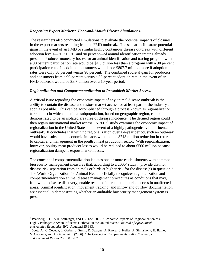#### *Reopening Export Markets: Foot-and-Mouth Disease Simulations.*

The researchers also conducted simulations to evaluate the potential impacts of closures in the export markets resulting from an FMD outbreak. The scenarios illustrate potential gains in the event of an FMD or similar highly contagious disease outbreak with different adoption levels—30, 50, 70, and 90 percent—of animal identification tracing already present. Producer monetary losses for an animal identification and tracing program with a 90 percent participation rate would be \$4.5 billion less than a program with a 30 percent participation rate. In addition, consumers would lose \$807.7 million more if adoption rates were only 30 percent versus 90 percent. The combined societal gain for producers and consumers from a 90-percent versus a 30-percent adoption rate in the event of an FMD outbreak would be \$3.7 billion over a 10-year period.

#### *Regionalization and Compartmentalization to Reestablish Market Access.*

A critical issue regarding the economic impact of any animal disease outbreak is the ability to contain the disease and restore market access for at least part of the industry as soon as possible. This can be accomplished through a process known as regionalization (or zoning) in which an animal subpopulation, based on geographic region, can be demonstrated to be an isolated area free of disease incidence. The defined region could then regain international market access. A  $2007<sup>5</sup>$  study examines the economic impact of regionalization in the United States in the event of a highly pathogenic avian influenza outbreak. It concludes that with no regionalization over a 4-year period, such an outbreak would have substantial economic impacts with about a \$718 million reduction in returns to capital and management in the poultry meat production sector. With regionalization, however, poultry meat producer losses would be reduced to about \$500 million because regionalization dampens export market losses.

The concept of compartmentalization isolates one or more establishments with common biosecurity management measures that, according to a 2006<sup>6</sup> study, "provide distinct disease risk separation from animals or birds at higher risk for the disease(s) in question." The World Organization for Animal Health officially recognizes regionalization and compartmentalization animal disease management procedures as conditions that may, following a disease discovery, enable resumed international market access in unaffected areas. Animal identification, movement tracking, and inflow and outflow documentation are essential in demonstrating whether an auditable biosecurity management system is present.

 $\overline{a}$ 

<sup>&</sup>lt;sup>5</sup> Paarlberg, P.L., A.H. Seitzinger, and J.G. Lee. 2007. "Economic Impacts of Regionalization of a Highly Pathogenic Avian Influenza Outbreak in the United States." *Journal of Agricultural and Applied Economics* 39(2, August):325-333. 6

<sup>&</sup>lt;sup>6</sup> Scott. A., C. Zepeda, L. Garber, J. Smith, D. Swayne, A. Rhorer, J. Kellar, A. Shimshony, H. Batho, V. Caporale, and A. Giovannini. (2006). "The Concept of Compartmentalisation." *Scientific and Technical Review* 25(3):873-879.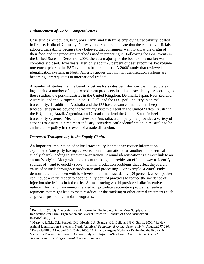#### *Enhancement of Global Competitiveness.*

Case studies<sup>7</sup> of poultry, beef, pork, lamb, and fish firms employing traceability located in France, Holland, Germany, Norway, and Scotland indicate that the company officials adopted traceability because they believed that consumers want to know the origin of their food and the processing methods used in preparing it. Following the BSE events in the United States in December 2003, the vast majority of the beef export market was completely closed. Five years later, only about 75 percent of beef export market volume movement prior to the BSE event has been regained. A 2008<sup>8</sup> study that reviewed animal identification systems in North America argues that animal identification systems are becoming "prerequisites to international trade."

A number of studies that the benefit-cost analysis cites describe how the United States lags behind a number of major world meat producers in animal traceability. According to these studies, the pork industries in the United Kingdom, Denmark, Japan, New Zealand, Australia, and the European Union (EU) all lead the U.S. pork industry in animal traceability. In addition, Australia and the EU have advanced mandatory sheep traceability systems beyond the voluntary system present in the United States. Australia, the EU, Japan, Brazil, Argentina, and Canada also lead the United States in beef traceability systems. Meat and Livestock Australia, a company that provides a variety of services to Australia's red meat industry, considers cattle identification in Australia to be an insurance policy in the event of a trade disruption.

#### *Increased Transparency in the Supply Chain.*

 $\overline{a}$ 

An important implication of animal traceability is that it can reduce information asymmetry (one party having access to more information than another in the vertical supply chain), leading to greater transparency. Animal identification is a direct link to an animal's origin. Along with movement tracking, it provides an efficient way to identify sources of—and to quickly solve—animal production problems that affect the overall value of animals throughout production and processing. For example, a 2008<sup>9</sup> study demonstrated that, even with low levels of animal traceability (39 percent), a beef packer can induce a cattle feeder to adopt quality control practices to reduce the incidence of injection-site lesions in fed cattle. Animal tracing would provide similar incentives to reduce information asymmetry related to up-to-date vaccination programs, feeding regimens that might lead to meat residues, or the tracking of other animal treatments such as growth-promoting implant programs.

 $^7$  Buhr, B.L. (2003). "Traceability and Information Technology in the Meat Supply Chain: Implications for Firm Organization and Market Structure." *Journal of Food Distribution Research* 34(3):13-26.

<sup>8</sup> Murphy, R.G.L, D.L. Pendell, D.L. Morris, J.A. Scanga, K.E. Belk, and G.C. Smith. 2008. "Review: Animal Identification Systems in North America." *Professional Animal Scientist* 24(4, August):277‐286. <sup>9</sup>

<sup>&</sup>lt;sup>9</sup> Resende-Filho, M.A. and B.L. Buhr. 2008. "A Principal-Agent Model for Evaluating the Economic Value of a Traceability System: A Case Study with Injection-Site Lesion Control in Fed Cattle." *American Journal of Agricultural Economics* in press.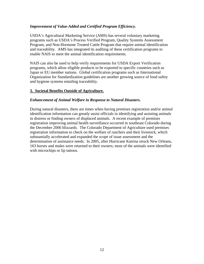#### *Improvement of Value-Added and Certified Program Efficiency.*

USDA's Agricultural Marketing Service (AMS) has several voluntary marketing programs such as USDA's Process Verified Program, Quality Systems Assessment Program, and Non-Hormone Treated Cattle Program that require animal identification and traceability. AMS has integrated its auditing of these certification programs to enable NAIS to meet the animal identification requirements.

NAIS can also be used to help verify requirements for USDA Export Verification programs, which allow eligible products to be exported to specific countries such as Japan or EU member nations. Global certification programs such as International Organization for Standardization guidelines are another growing source of food safety and hygiene systems entailing traceability.

#### **3. Societal Benefits Outside of Agriculture.**

#### *Enhancement of Animal Welfare in Response to Natural Disasters.*

During natural disasters, there are times when having premises registration and/or animal identification information can greatly assist officials in identifying and assisting animals in distress or finding owners of displaced animals. A recent example of premises registration improving animal health surveillance occurred in southeast Colorado during the December 2006 blizzards. The Colorado Department of Agriculture used premises registration information to check on the welfare of ranchers and their livestock, which substantially accelerated and expanded the scope of issue assessment and the determination of assistance needs. In 2005, after Hurricane Katrina struck New Orleans, 163 horses and mules were returned to their owners; most of the animals were identified with microchips or lip tattoos.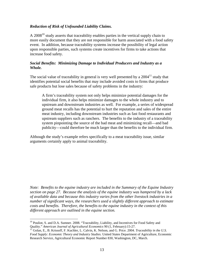#### *Reduction of Risk of Unfounded Liability Claims.*

A  $2008<sup>10</sup>$  study asserts that traceability enables parties in the vertical supply chain to more easily document that they are not responsible for harm associated with a food safety event. In addition, because traceability systems increase the possibility of legal action upon responsible parties, such systems create incentives for firms to take actions that increase food safety.

#### *Social Benefits: Minimizing Damage to Individual Producers and Industry as a Whole.*

The social value of traceability in general is very well presented by a  $2004<sup>11</sup>$  study that identifies potential social benefits that may include avoided costs to firms that produce safe products but lose sales because of safety problems in the industry:

A firm's traceability system not only helps minimize potential damages for the individual firm, it also helps minimize damages to the whole industry and to upstream and downstream industries as well. For example, a series of widespread ground meat recalls has the potential to hurt the reputation and sales of the entire meat industry, including downstream industries such as fast food restaurants and upstream suppliers such as ranchers. The benefits to the industry of a traceability system pinpointing the source of the bad meat and minimizing recall—and bad publicity—could therefore be much larger than the benefits to the individual firm.

Although the study's example refers specifically to a meat traceability issue, similar arguments certainly apply to animal traceability.

*Note: Benefits to the equine industry are included in the Summary of the Equine Industry section on page 27. Because the analysis of the equine industry was hampered by a lack of available data and because this industry varies from the other livestock industries in a number of significant ways, the researchers used a slightly different approach to estimate costs and benefits. Therefore, the benefits to the equine industry in the context of this different approach are outlined in the equine section.* 

 $\overline{a}$ 

<sup>&</sup>lt;sup>10</sup> Pouliot, S. and D.A. Sumner. 2008. "Traceability, Liability, and Incentives for Food Safety and Quality." *American Journal of Agricultural Economics* 90 (1, February):15-27. 11 Golan, E., B. Krissoff, F. Kuchler, L. Calvin, K. Nelson, and G. Price. 2004. *Traceability in the U.S.* 

*Food Supply: Economic Theory and Industry Studies.* United States Department of Agriculture, Economic Research Service, Agricultural Economic Report Number 830, Washington, DC, March.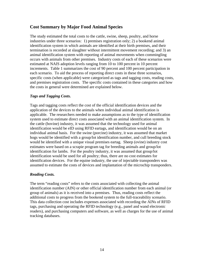## **Cost Summary by Major Food Animal Species**

The study estimated the total costs to the cattle, swine, sheep, poultry, and horse industries under three scenarios: 1) premises registration only; 2) a bookend animal identification system in which animals are identified at their birth premises, and their termination is recorded at slaughter without intermittent movement recording; and 3) an animal identification system with reporting of animal movements when commingling occurs with animals from other premises. Industry costs of each of these scenarios were estimated at NAIS adoption levels ranging from 10 to 100 percent in 10 percent increments. Table 1 summarizes the cost of 90 percent and 100 percent participation in each scenario. To aid the process of reporting direct costs in these three scenarios, specific costs (when applicable) were categorized as tags and tagging costs, reading costs, and premises registration costs. The specific costs contained in these categories and how the costs in general were determined are explained below.

#### *Tags and Tagging Costs.*

Tags and tagging costs reflect the cost of the official identification devices and the application of the devices to the animals when individual animal identification is applicable. The researchers needed to make assumptions as to the type of identification system used to estimate direct costs associated with an animal identification system. In the cattle (bovine) industry, it was assumed that the technology used for animal identification would be eID using RFID eartags, and identification would be on an individual animal basis. For the swine (porcine) industry, it was assumed that market hogs would be identified with a group/lot identification number, and cull breeding stock would be identified with a unique visual premises eartag. Sheep (ovine) industry cost estimates were based on a scrapie program tag for breeding animals and group/lot identification for lambs. For the poultry industry, it was assumed that group/lot identification would be used for all poultry; thus, there are no cost estimates for identification devices. For the equine industry, the use of injectable transponders was assumed to estimate the costs of devices and implantation of the microchip transponders.

#### *Reading Costs.*

The term "reading costs" refers to the costs associated with collecting the animal identification number (AIN) or other official identification number from each animal (or group of animals) as it is received into a premises. Thus, reading costs reflect the additional costs to progress from the bookend system to the full-traceability scenario. This data collection cost includes expenses associated with recording the AINs of RFID tags, purchasing and operating the RFID technology (e.g., panel and wand electronic readers), and purchasing computers and software, as well as charges for the use of animal tracking databases.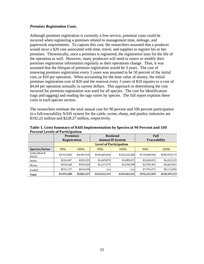#### *Premises Registration Costs.*

Although premises registration is currently a free service, potential costs could be incurred when registering a premises related to management time, mileage, and paperwork requirements. To capture this cost, the researchers assumed that a producer would incur a \$20 cost associated with time, travel, and supplies to register his or her premises. Theoretically, once a premises is registered, the registration lasts for the life of the operation as well. However, many producers will need to renew or modify their premises registration information regularly as their operations change. Thus, it was assumed that the lifespan of premises registration would be 3 years. The cost of renewing premises registration every 3 years was assumed to be 50 percent of the initial cost, or \$10 per operation. When accounting for the time value of money, the initial premises registration cost of \$20 and the renewal every 3 years of \$10 equates to a cost of \$4.64 per operation annually in current dollars. This approach in determining the cost incurred for premises registration was used for all species. The cost for identification (tags and tagging) and reading the tags varies by species. The full report explains these costs in each species section.

The researchers estimate the total annual cost for 90 percent and 100 percent participation in a full-traceability NAIS system for the cattle, swine, sheep, and poultry industries are \$192.22 million and \$228.27 million, respectively.

|                          | <b>Premises</b> |             | <b>Bookend</b>                                 |                               | Full          |               |
|--------------------------|-----------------|-------------|------------------------------------------------|-------------------------------|---------------|---------------|
|                          | Registration    |             | <b>Animal ID System</b><br><b>Traceability</b> |                               |               |               |
|                          |                 |             |                                                | <b>Level of Participation</b> |               |               |
| Species/Sector           | 90%             | 100%        | 90%                                            | 100%                          | 90%           | 100%          |
| Cattle (Beef &<br>Dairy) | \$2,915,856     | \$4,493,910 | \$140,285,046                                  | \$165,262,586                 | \$175,868,526 | \$209,070,173 |
| Swine                    | \$226,447       | \$305,259   | \$1,609,870                                    | \$1,889,457                   | \$5,668,691   | \$6,422,323   |
| Sheep                    | \$318,168       | \$359,450   | \$1,617,275                                    | \$2,450,398                   | \$2,709,481   | \$3,663,961   |
| Poultry                  | \$531,137       | \$643,638   | n/a                                            | n/a                           | \$7,976,271   | \$9,112,856   |
| Total                    | \$3,991,608     | \$5,802,257 | \$143,512,191                                  | \$169,602,441                 | \$192,222,969 | \$228,269,313 |

**Table 1. Costs Summary of NAIS Implementation by Species at 90 Percent and 100 Percent Levels of Participation**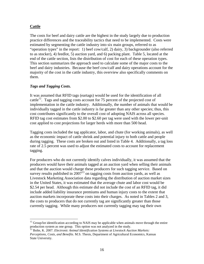#### **Cattle**

1

The costs for beef and dairy cattle are the highest in the study largely due to production practice differences and the traceability tactics that need to be implemented. Costs were estimated by segmenting the cattle industry into six main groups, referred to as "operation types" in the report: 1) beef cow/calf, 2) dairy, 3) backgrounder (also referred to as stocker), 4) feedlot, 5) auction yard, and 6) packing plant. Table 5, located at the end of the cattle section, lists the distribution of cost for each of these operation types. This section summarizes the approach used to calculate some of the major costs to the beef and dairy industries. Because the beef cow/calf and dairy operations account for the majority of the cost in the cattle industry, this overview also specifically comments on them.

#### *Tags and Tagging Costs.*

It was assumed that RFID tags (eartags) would be used for the identification of all cattle<sup>12</sup>. Tags and tagging costs account for 75 percent of the projected cost of implementation in the cattle industry. Additionally, the number of animals that would be individually tagged in the cattle industry is far greater than any other species; thus, this cost contributes significantly to the overall cost of adopting NAIS across all species. RFID tag cost estimates from \$2.00 to \$2.60 per tag were used with the lower per-unit cost applied to cost projections for larger herds with more than 500 head.

Tagging costs included the tag applicator, labor, and chute (for working animals), as well as the economic impact of cattle shrink and potential injury to both cattle and people during tagging. These costs are broken out and listed in Table 4. Additionally, a tag loss rate of 2.5 percent was used to adjust the estimated costs to account for replacement tagging.

For producers who do not currently identify calves individually, it was assumed that the producers would have their animals tagged at an auction yard when selling their animals and that the auction would charge these producers for such tagging service. Based on survey results published in  $2007<sup>13</sup>$  on tagging costs from auction yards, as well as Livestock Marketing Association data regarding the distribution of auction market sizes in the United States, it was estimated that the average chute and labor cost would be \$2.54 per head. Although this estimate did not include the cost of an RFID tag, it did include added liability insurance premiums and human injury costs to the extent that auction markets incorporate these costs into their charges. As noted in Tables 2 and 3, the costs to producers that do not currently tag are significantly greater than those currently tagging. While many producers not currently tagging may tag their own

 $12$  Group/lot identification according to NAIS may be applicable when animals move through the entire production system as one group. This option was not analyzed in the study.

<sup>&</sup>lt;sup>13</sup> Bolte, K. 2007. *Electronic Animal Identification Systems at Livestock Auction Markets: Perceptions, Costs, and Benefits.* M.S. Thesis, Department of Agricultural Economics, Kansas State University.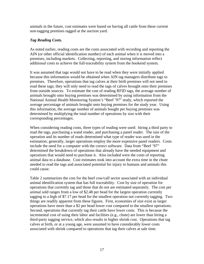animals in the future, cost estimates were based on having all cattle from these current non-tagging premises tagged at the auction yard.

#### *Tag Reading Costs.*

As noted earlier, reading costs are the costs associated with recording and reporting the AIN (or other official identification number) of each animal when it is moved into a premises, including markets. Collecting, reporting, and storing information reflect additional costs to achieve the full-traceability system from the bookend system.

It was assumed that tags would not have to be read when they were initially applied because this information would be obtained when AIN tag managers distribute tags to premises. Therefore, operations that tag calves at their birth premises will not need to read these tags; they will only need to read the tags of calves brought onto their premises from outside sources. To estimate the cost of reading RFID tags, the average number of animals brought onto buying premises was determined by using information from the National Animal Health Monitoring System's "Beef '97" study, which reported the average percentage of animals brought onto buying premises for the study year. Using this information, the average number of animals bought per buying premises was determined by multiplying the total number of operations by size with their corresponding percentages.

When considering reading costs, three types of reading were used: hiring a third party to read the tags, purchasing a wand reader, and purchasing a panel reader. The size of the operation and its number of reads determined what type of reader was used in the estimation; generally, larger operations employ the more expensive panel readers. Costs include the need for a computer with the correct software. Data from "Beef '97" determined the breakdown of operations that already have the needed equipment and operations that would need to purchase it. Also included were the costs of reporting animal data to a database. Cost estimates took into account the extra time in the chute needed to read the tags and associated potential for injury to humans and animals this could cause.

Table 2 summarizes the cost for the beef cow/calf sector associated with an individual animal identification system that has full traceability. Cost by size of operation for operations that currently tag and those that do not are estimated separately. The cost per animal sold ranges from a low of \$2.48 per head for the largest operation currently tagging to a high of \$7.17 per head for the smallest operation not currently tagging. Two things are readily apparent from these figures. First, economies of size exist as larger operations have more than a \$2 per head lower cost compared to the smallest operations. Second, operations that currently tag their cattle have lower costs. This is because the incremental cost of using their labor and facilities (e.g., chute) are lower than hiring a third-party tagging service, which also results in higher shrink cost. Operations that tag calves at birth, or at a young age, were assumed to have considerably lower costs associated with shrink compared to operations that tag their calves at sale time.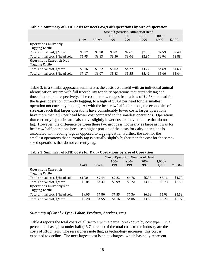|                                                          | Size of Operation, Number of Head |           |         |         |           |          |          |
|----------------------------------------------------------|-----------------------------------|-----------|---------|---------|-----------|----------|----------|
|                                                          |                                   |           | $100 -$ | $500 -$ | $1.000 -$ | $2,000-$ |          |
|                                                          | $1 - 49$                          | $50 - 99$ | 499     | 999     | 1,999     | 4.999    | $5,000+$ |
| <b>Operations Currently</b><br><b>Tagging Cattle</b>     |                                   |           |         |         |           |          |          |
| Total annual cost, \$/cow                                | \$5.12                            | \$3.30    | \$3.01  | \$2.61  | \$2.55    | \$2.53   | \$2.48   |
| Total annual cost, \$/head sold                          | \$5.95                            | \$3.83    | \$3.50  | \$3.04  | \$2.97    | \$2.94   | \$2.88   |
| <b>Operations Currently Not</b><br><b>Tagging Cattle</b> |                                   |           |         |         |           |          |          |
| Total annual cost, \$/cow                                | \$6.16                            | \$5.22    | \$5.02  | \$4.77  | \$4.72    | \$4.69   | \$4.68   |
| Total annual cost, \$/head sold                          | \$7.17                            | \$6.07    | \$5.83  | \$5.55  | \$5.49    | \$5.46   | \$5.44   |

**Table 2. Summary of RFID Costs for Beef Cow/Calf Operations by Size of Operation** 

Table 3, in a similar approach, summarizes the costs associated with an individual animal identification system with full traceability for dairy operations that currently tag and those that do not, respectively. The cost per cow ranges from a low of \$2.53 per head for the largest operation currently tagging, to a high of \$5.84 per head for the smallest operation not currently tagging. As with the beef cow/calf operations, the economies of size exist such that larger operations have considerably lower costs; larger operations have more than a \$2 per head lower cost compared to the smallest operations. Operations that currently tag their cattle also have slightly lower costs relative to those that do not tag. However, the difference between these two groups is not nearly as large as it was for beef cow/calf operations because a higher portion of the costs for dairy operations is associated with reading tags as opposed to tagging cattle. Further, the cost for the smallest operations that currently tag is actually slightly higher than the cost for the samesized operations that do not currently tag.

|                                 |          |           |         |         | Size of Operation, Number of Head |           |          |
|---------------------------------|----------|-----------|---------|---------|-----------------------------------|-----------|----------|
|                                 |          |           | $100 -$ | $200 -$ | $500 -$                           | $1.000 -$ |          |
|                                 | $1 - 49$ | $50 - 99$ | 199     | 499     | 999                               | 1,999     | $2,000+$ |
| <b>Operations Currently</b>     |          |           |         |         |                                   |           |          |
| <b>Tagging Cattle</b>           |          |           |         |         |                                   |           |          |
| Total annual cost, \$/head sold | \$10.01  | \$7.44    | \$7.23  | \$6.76  | \$5.85                            | \$5.16    | \$4.70   |
| Total annual cost, \$/cow       | \$5.84   | \$4.34    | \$3.99  | \$3.72  | \$3.16                            | \$2.78    | \$2.53   |
| <b>Operations Currently Not</b> |          |           |         |         |                                   |           |          |
| <b>Tagging Cattle</b>           |          |           |         |         |                                   |           |          |
| Total annual cost, \$/head sold | \$9.05   | \$7.80    | \$7.55  | \$7.36  | \$6.68                            | \$5.93    | \$5.52   |
| Total annual cost, \$/cow       | \$5.28   | \$4.55    | \$4.16  | \$4.06  | \$3.60                            | \$3.20    | \$2.97   |

**Table 3. Summary of RFID Costs for Dairy Operations by Size of Operation** 

#### *Summary of Cost by Type (Labor, Products, Services, etc.).*

Table 4 reports the total costs of all sectors with a partial breakdown by cost type. On a percentage basis, just under half (46.7 percent) of the total costs to the industry are the costs of RFID tags. The researchers note that, as technology increases, this cost is expected to decline. The next largest cost is chute charges, which basically represent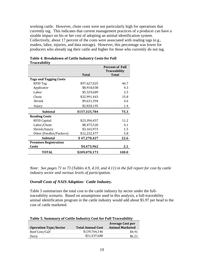working cattle. However, chute costs were not particularly high for operations that currently tag. This indicates that current management practices of a producer can have a sizable impact on his or her cost of adopting an animal identification system. Collectively, about 17 percent of the costs were associated with reading tags (e.g., readers, labor, injuries, and data storage). However, this percentage was lower for producers who already tag their cattle and higher for those who currently do not tag.

|                               |               | <b>Percent of Full</b><br><b>Traceability</b> |
|-------------------------------|---------------|-----------------------------------------------|
|                               | <b>Total</b>  | <b>Total</b>                                  |
| <b>Tags and Tagging Costs</b> |               |                                               |
| RFID Tag                      | \$97,627,025  | 46.7                                          |
| Applicator                    | \$8,918,038   | 4.3                                           |
| Labor                         | \$5,329,689   | 2.5                                           |
| Chute                         | \$32,991,443  | 15.8                                          |
| Shrink                        | \$9,631,394   | 4.6                                           |
| Injury                        | \$2,828,195   | 1.4                                           |
| <b>Subtotal</b>               | \$157,325,784 | 75.3                                          |
| <b>Reading Costs</b>          |               |                                               |
| RFID Capital                  | \$23,396,457  | 11.2                                          |
| Labor/Chute                   | \$8,475,520   | 4.1                                           |
| Shrink/Injury                 | \$3,165,973   | 1.5                                           |
| Other (Feedlot/Packers)       | \$12,232,477  | 5.8                                           |
| <b>Subtotal</b>               | \$47,270,427  | 22.6                                          |
| <b>Premises Registration</b>  |               |                                               |
| Costs                         | \$4,473,962   | 2.1                                           |
| <b>TOTAL</b>                  | \$209,070,173 | 100.0                                         |

#### **Table 4. Breakdown of Cattle Industry Costs for Full Traceability**

*Note: See pages 71 to 73 (Tables 4.9, 4.10, and 4.11) in the full report for cost by cattle industry sector and various levels of participation.* 

#### *Overall Costs of NAIS Adoption: Cattle Industry.*

Table 5 summarizes the total cost to the cattle industry by sector under the fulltraceability scenario. Based on assumptions used in this analysis, a full-traceability animal identification program in the cattle industry would add about \$5.97 per head to the cost of cattle marketed.

| TWDIO OI DWIIIIIWI I OI GWEED IIIWWOEI I GODETOT I WII TTUCCWDIIIEI |                          |                         |  |  |  |
|---------------------------------------------------------------------|--------------------------|-------------------------|--|--|--|
|                                                                     |                          | <b>Average Cost per</b> |  |  |  |
| <b>Operation Type/Sector</b>                                        | <b>Total Annual Cost</b> | <b>Animal Marketed</b>  |  |  |  |
| Beef Cow/Calf                                                       | \$139.764.146            | \$4.91                  |  |  |  |
| Dairy                                                               | \$31,437,688             | \$6.21                  |  |  |  |

#### **Table 5. Summary of Cattle Industry Cost for Full Traceability**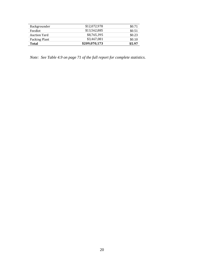| <b>Total</b>        | \$209,070,173 | \$5.97 |
|---------------------|---------------|--------|
| Packing Plant       | \$3,467,081   | \$0.10 |
| <b>Auction Yard</b> | \$8,765,395   | \$0.23 |
| Feedlot             | \$13.562.885  | \$0.51 |
| Backgrounder        | \$12,072,978  | \$0.71 |

*Note: See Table 4.9 on page 71 of the full report for complete statistics.*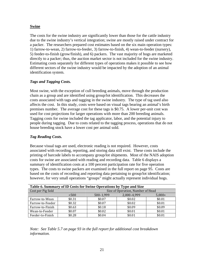#### **Swine**

The costs for the swine industry are significantly lower than those for the cattle industry due to the swine industry's vertical integration; swine are mostly raised under contract for a packer. The researchers prepared cost estimates based on the six main operation types: 1) farrow-to-wean, 2) farrow-to-feeder, 3) farrow-to-finish, 4) wean-to-feeder (nursery), 5) feeder-to-finish (grow/finish), and 6) packers. The vast majority of hogs are marketed directly to a packer; thus, the auction market sector is not included for the swine industry. Estimating costs separately for different types of operations makes it possible to see how different sectors of the swine industry would be impacted by the adoption of an animal identification system.

#### *Tags and Tagging Costs.*

Most swine, with the exception of cull breeding animals, move through the production chain as a group and are identified using group/lot identification. This decreases the costs associated with tags and tagging in the swine industry. The type of tag used also affects the cost. In this study, costs were based on visual tags bearing an animal's birth premises number. The average cost for these tags is \$0.75. A lower per-unit cost was used for cost projections for larger operations with more than 200 breeding animals. Tagging costs for swine included the tag applicator, labor, and the potential injury to people during tagging. Due to costs related to the tagging process, operations that do not house breeding stock have a lower cost per animal sold.

#### *Tag Reading Costs.*

Because visual tags are used, electronic reading is not required. However, costs associated with recording, reporting, and storing data still exist. These costs include the printing of barcode labels to accompany group/lot shipments. Most of the NAIS adoption costs for swine are associated with reading and recording data. Table 6 displays a summary of identification costs at a 100 percent participation rate for five operation types. The costs to swine packers are examined in the full report on page 95. Costs are based on the costs of recording and reporting data pertaining to group/lot identification; however, for very small operations "groups" might actually represent individual hogs.

| Table 6. Summary of ID Costs for Swine Operations by Type and Size |                                               |                                   |        |        |  |  |  |
|--------------------------------------------------------------------|-----------------------------------------------|-----------------------------------|--------|--------|--|--|--|
| Cost per Pig Sold                                                  |                                               | Size of Operation, Number of Head |        |        |  |  |  |
|                                                                    | 2,000-4,999<br>500-1,999<br>< 500<br>$5,000+$ |                                   |        |        |  |  |  |
| Farrow-to-Wean                                                     | \$0.31                                        | \$0.07                            | \$0.02 | \$0.01 |  |  |  |
| Farrow-to-Feeder                                                   | \$0.32                                        | \$0.07                            | \$0.02 | \$0.01 |  |  |  |
| Farrow-to-Finish                                                   | \$0.63                                        | \$0.18                            | \$0.09 | \$0.09 |  |  |  |
| Wean-to-Feeder                                                     | \$0.07                                        | \$0.02                            | \$0.01 | \$0.01 |  |  |  |
| Feeder-to-Finish                                                   | \$0.28                                        | \$0.04                            | \$0.01 | \$0.01 |  |  |  |

*Note: See Table 5.7 on page 93 in the full report for additional cost breakdown information.*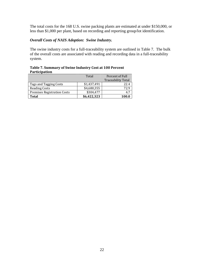The total costs for the 168 U.S. swine packing plants are estimated at under \$150,000, or less than \$1,000 per plant, based on recording and reporting group/lot identification.

#### *Overall Costs of NAIS Adoption: Swine Industry.*

The swine industry costs for a full-traceability system are outlined in Table 7. The bulk of the overall costs are associated with reading and recording data in a full-traceability system.

| $1.41$ $1.51$ $1.61$               |             |                           |
|------------------------------------|-------------|---------------------------|
|                                    | Total       | Percent of Full           |
|                                    |             | <b>Traceability Total</b> |
| Tags and Tagging Costs             | \$1,437,491 | 22.4                      |
| <b>Reading Costs</b>               | \$4,680,355 | 72.9                      |
| <b>Premises Registration Costs</b> | \$304,477   |                           |
| Total                              | \$6,422,323 | 100.0                     |

**Table 7. Summary of Swine Industry Cost at 100 Percent Participation**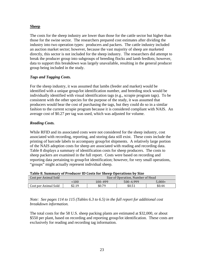#### **Sheep**

The costs for the sheep industry are lower than those for the cattle sector but higher than those for the swine sector. The researchers prepared cost estimates after dividing the industry into two operation types: producers and packers. The cattle industry included an auction market sector; however, because the vast majority of sheep are marketed directly, this sector is not included for the sheep industry. The researchers did attempt to break the producer group into subgroups of breeding flocks and lamb feedlots; however, data to support this breakdown was largely unavailable, resulting in the general producer group being included in the study.

#### *Tags and Tagging Costs.*

For the sheep industry, it was assumed that lambs (feeder and market) would be identified with a unique group/lot identification number, and breeding stock would be individually identified with visual identification tags (e.g., scrapie program tags). To be consistent with the other species for the purpose of the study, it was assumed that producers would bear the cost of purchasing the tags, but they could do so in a similar fashion to the current scrapie program because it is considered compliant with NAIS. An average cost of \$0.27 per tag was used, which was adjusted for volume.

#### *Reading Costs.*

While RFID and its associated costs were not considered for the sheep industry, cost associated with recording, reporting, and storing data still exist. These costs include the printing of barcode labels to accompany group/lot shipments. A relatively large portion of the NAIS adoption costs for sheep are associated with reading and recording data. Table 8 displays a summary of identification costs for sheep producers. The costs to sheep packers are examined in the full report. Costs were based on recording and reporting data pertaining to group/lot identification; however, for very small operations, "groups" might actually represent individual sheep.

| Table of Summary of Frouncer id Costs for Sheep Operations by Size |                                         |        |        |        |  |  |  |
|--------------------------------------------------------------------|-----------------------------------------|--------|--------|--------|--|--|--|
| Cost per Animal Sold                                               | Size of Operation, Number of Head       |        |        |        |  |  |  |
|                                                                    | 500-4.999<br>100–499<br>$5.000+$<br>100 |        |        |        |  |  |  |
| Cost per Animal Sold                                               | \$2.19                                  | \$0.79 | \$0.51 | \$0.44 |  |  |  |

#### **Table 8. Summary of Producer ID Costs for Sheep Operations by Size**

*Note: See pages 114 to 115 (Tables 6.3 to 6.5) in the full report for additional cost breakdown information.* 

The total costs for the 58 U.S. sheep packing plants are estimated at \$32,000, or about \$550 per plant, based on recording and reporting group/lot identification. These costs are exclusively for reading and recording tag information.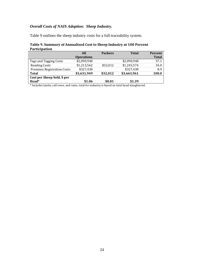## *Overall Costs of NAIS Adoption: Sheep Industry.*

Table 9 outlines the sheep industry costs for a full-traceability system.

#### **Table 9. Summary of Annualized Cost to Sheep Industry at 100 Percent Participation**

|                                    | All               | <b>Packers</b> | <b>Total</b> | Percent      |
|------------------------------------|-------------------|----------------|--------------|--------------|
|                                    | <b>Operations</b> |                |              | <b>Total</b> |
| Tags and Tagging Costs             | \$2,090,948       |                | \$2,090,948  | 57.1         |
| <b>Reading Costs</b>               | \$1,213,562       | \$32,012       | \$1,245,574  | 34.0         |
| <b>Premises Registration Costs</b> | \$327,438         |                | \$327,438    | 8.9          |
| <b>Total</b>                       | \$3,631,949       | \$32,012       | \$3,663,961  | 100.0        |
| Cost per Sheep Sold, \$ per        |                   |                |              |              |
| Head*                              | \$1.06            | \$0.01         | \$1.39       |              |
|                                    |                   |                |              |              |

\* Includes lambs, cull ewes, and rams; total for industry is based on total head slaughtered.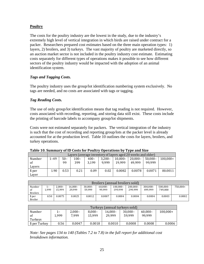#### **Poultry**

The costs for the poultry industry are the lowest in the study, due to the industry's extremely high level of vertical integration in which birds are raised under contract for a packer. Researchers prepared cost estimates based on the three main operation types: 1) layers, 2) broilers, and 3) turkeys. The vast majority of poultry are marketed directly, so an auction market sector is not included in the poultry industry cost estimate. Estimating costs separately for different types of operations makes it possible to see how different sectors of the poultry industry would be impacted with the adoption of an animal identification system.

#### *Tags and Tagging Costs.*

The poultry industry uses the group/lot identification numbering system exclusively. No tags are needed, and no costs are associated with tags or tagging.

#### *Tag Reading Costs.*

The use of only group/lot identification means that tag reading is not required. However, costs associated with recording, reporting, and storing data still exist. These costs include the printing of barcode labels to accompany group/lot shipments.

Costs were not estimated separately for packers. The vertical integration of the industry is such that the cost of recording and reporting group/lots at the packer level is already accounted for at the production level. Table 10 outlines the costs for layers, broilers, and turkey operations.

|        |      | Layers (average inventory of layers aged 20 weeks and older) |         |         |           |            |            |         |            |
|--------|------|--------------------------------------------------------------|---------|---------|-----------|------------|------------|---------|------------|
| Number | 1–49 | $50-$                                                        | $100 -$ | $400 -$ | $3.200 -$ | $10.000 -$ | $20.000 -$ | 50.000– | $100.000+$ |
| of     |      | 99                                                           | 399     | 3.199   | 9.999     | 19.999     | 49.999     | 99.999  |            |
| Lavers |      |                                                              |         |         |           |            |            |         |            |
| \$ per | 1.90 | 0.53                                                         | 0.21    | 0.09    | 0.02      | 0.0082     | 0.0078     | 0.0071  | 00.0011    |
| Laver  |      |                                                              |         |         |           |            |            |         |            |

| Table 10. Summary of ID Costs for Poultry Operations by Type and Size |  |  |
|-----------------------------------------------------------------------|--|--|
|                                                                       |  |  |

|                 |       |           |            |            |            | Broilers (annual broilers sold) |             |             |             |          |
|-----------------|-------|-----------|------------|------------|------------|---------------------------------|-------------|-------------|-------------|----------|
| Number          | $1 -$ | $2.000 -$ | $16.000 -$ | $30.000 -$ | $60.000 -$ | $100.000 -$                     | $200.000 -$ | $300.000 -$ | $500.000 -$ | 750.000+ |
| -of             | L.999 | 15.999    | 29.999     | 59.999     | 99.999     | 199.999                         | 299.999     | 499.999     | 749.000     |          |
| <b>Broilers</b> |       |           |            |            |            |                                 |             |             |             |          |
| \$ per          | 0.50  | 0.0075    | 0.0025     | 0.0012     | 0.0007     | 0.0004                          | 0.0004      | 0.0004      | 0.0003      | 0.0002   |
| <b>Broiler</b>  |       |           |            |            |            |                                 |             |             |             |          |

| Turkeys (annual turkeys sold) |                  |          |           |            |            |            |            |
|-------------------------------|------------------|----------|-----------|------------|------------|------------|------------|
| Number                        | $\mathbf{1}_{-}$ | $2,000-$ | $8.000 -$ | $16.000 -$ | $30,000 -$ | $60.000 -$ | $100,000+$ |
| of                            | 1.999            | 7.999    | 15.999    | 29.999     | 59.999     | 99.999     |            |
| Turkeys                       |                  |          |           |            |            |            |            |
| \$ per Turkey                 | 0.56             | 0.0047   | 0.0018    | 0.0010     | 0.0008     | 0.0008     | 0.0006     |

*Note: See pages 134 to 140 (Tables 7.2 to 7.8) in the full report for additional cost breakdown information.*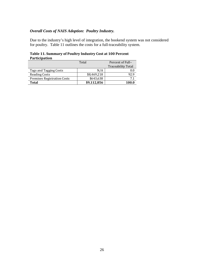#### *Overall Costs of NAIS Adoption: Poultry Industry.*

Due to the industry's high level of integration, the bookend system was not considered for poultry. Table 11 outlines the costs for a full-traceability system.

|                                    | Total       | Percent of Full-          |
|------------------------------------|-------------|---------------------------|
|                                    |             | <b>Traceability Total</b> |
| Tags and Tagging Costs             | N/A         | $0.0\,$                   |
| <b>Reading Costs</b>               | \$8,469,218 | 92.9                      |
| <b>Premises Registration Costs</b> | \$643,638   | 7.1                       |
| <b>Total</b>                       | \$9,112,856 | 100.0                     |

#### **Table 11. Summary of Poultry Industry Cost at 100 Percent Participation**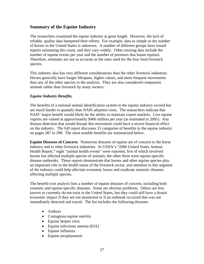## **Summary of the Equine Industry**

The researchers examined the equine industry at great length. However, the lack of reliable, quality data hampered their efforts. For example, data as simple as the number of horses in the United States is unknown. A number of different groups have issued reports estimating this count, and they vary widely. Other missing data include the number of equine events per year and the number of premises that house equines. Therefore, estimates are not as accurate as the ones used for the four food livestock species.

This industry also has very different considerations than the other livestock industries. Horses generally have longer lifespans, higher values, and more frequent movements than any of the other species in the analysis. They are also considered companion animals rather than livestock by many owners.

#### *Equine Industry Benefits.*

The benefits of a national animal identification system to the equine industry exceed but are much harder to quantify than NAIS adoption costs. The researchers indicate that NAIS' major benefit would likely be the ability to maintain export markets. Live equine exports are valued at approximately \$460 million per year (as estimated in 2005). Any disease detection that would disrupt this movement could have a severe financial effect on the industry. The full report discusses 15 categories of benefits to the equine industry on pages 287 to 298. The most notable benefits are summarized below.

**Equine Diseases of Concern**: Numerous diseases of equine are of concern to the horse industry and to other livestock industries. In USDA's "2006 United States Animal Health Report," eight "animal health events" were reported, five of which involved horses but affected multiple species of animals; the other three were equine-specific disease outbreaks. These reports demonstrate that horses and other equine species play an important role in the health status of the livestock sector, and attention to this segment of the industry could help alleviate economic losses and eradicate zoonotic diseases affecting multiple species.

The benefit-cost analysis lists a number of equine diseases of concern, including both zoonotic and equine-specific diseases. Some are obvious problems. Others are less known or currently do not exist in the United States, but they could still have a drastic economic impact if they are not monitored or if an outbreak occurred that was not immediately detected and traced. The list includes the following diseases:

- Anthrax
- Contagious equine metritis
- Equine herpes virus
- Equine infectious anemia (EIA)
- Equine influenza
- Equine piroplasmosis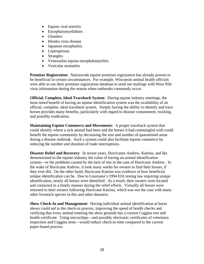- Equine viral arteritis
- Encephalomyelidities
- Glanders
- Hendra virus disease
- Japanese encephalitis
- Leptospirosis
- Strangles
- Venezuelan equine encephalomyelitis
- Vesicular stomatitis

**Premises Registration**: Nationwide equine premises registration has already proven to be beneficial in certain circumstances. For example, Wisconsin animal health officials were able to use their premises registration database to send out mailings with West Nile virus information during the season when outbreaks commonly occur.

**Official, Complete, Ideal Traceback System**: During equine industry meetings, the most noted benefit of having an equine identification system was the availability of an official, complete, ideal traceback system. Simply having the ability to identify and trace horses provides many benefits, particularly with regard to disease containment, tracking, and possibly eradication.

**Maintaining Equine Commerce and Movements**: A proper traceback system that could identify where a sick animal had been and the horses it had commingled with could benefit the equine community by decreasing the size and number of quarantined areas during a disease outbreak. Such a system could also facilitate equine commerce by reducing the number and duration of trade interruptions.

**Disaster Relief and Recovery**: In recent years, Hurricanes Andrew, Katrina, and Ike demonstrated to the equine industry the value of having an animal identification system—or the problems caused by the lack of one in the case of Hurricane Andrew. In the wake of Hurricane Andrew, it took many weeks for owners to find their horses, if they ever did. On the other hand, Hurricane Katrina was evidence of how beneficial unique identification can be. Due to Louisiana's 1994 EIA testing law requiring unique identification, nearly all horses were identified. As a result, their owners were located and contacted in a timely manner during the relief efforts. Virtually all horses were returned to their owners following Hurricane Katrina, which was not the case with many other livestock species in this and other disasters.

**Show Check-In and Management**: Having individual animal identification at horse shows could aid in the check-in process, improving the speed of health checks and verifying that every animal entering the show grounds has a current Coggins test and health certificate. Using microchips—and possibly electronic certificates of veterinary inspection and Coggins tests—would reduce check-in time compared to the current paper-based process.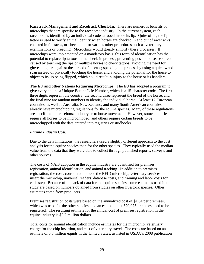**Racetrack Management and Racetrack Check-In**: There are numerous benefits of microchips that are specific to the racehorse industry. In the current system, each racehorse is identified by an individual code tattooed inside its lip. Quite often, the lip tattoo is used to verify animal identity when horses are checked in and out of racetracks, checked in for races, or checked in for various other procedures such as veterinary examinations or breeding. Microchips would greatly simplify these processes. If microchips were implemented on a mandatory basis, this form of identification has the potential to replace lip tattoos in the check-in process, preventing possible disease spread caused by touching the lips of multiple horses to check tattoos; avoiding the need for gloves to guard against the spread of disease; speeding the process by using a quick wand scan instead of physically touching the horse; and avoiding the potential for the horse to object to its lip being flipped, which could result in injury to the horse or its handlers.

**The EU and other Nations Requiring Microchips**: The EU has adopted a program to give every equine a Unique Equine Life Number, which is a 15-character code. The first three digits represent the country, the second three represent the breed of the horse, and the final nine are random numbers to identify the individual horse. At least 12 European countries, as well as Australia, New Zealand, and many South American countries, already have microchipping regulations for the equine species. Many of these regulations are specific to the racehorse industry or to horse movement. However, some countries require all horses to be microchipped, and others require certain breeds to be microchipped with the data entered into registries or studbooks.

#### *Equine Industry Cost.*

Due to the data limitations, the researchers used a slightly different approach to the cost analysis for the equine species than for the other species. They typically used the median value from the data that they were able to collect through published reports, surveys, and other sources.

The costs of NAIS adoption in the equine industry are quantified for premises registration, animal identification, and animal tracking. In addition to premises registration, the costs considered include the RFID microchip, veterinary services to insert the microchip, universal readers, database costs, and training and labor costs for each step. Because of the lack of data for the equine species, some estimates used in the study are based on numbers obtained from studies on other livestock species. Other estimates come from producers.

Premises registration costs were based on the annualized cost of \$4.64 per premises, which was used for the other species, and an estimate that 579,975 premises need to be registered. The resulting estimate for the annual cost of premises registration in the equine industry is \$2.7 million dollars.

Total costs for animal identification include estimates for the microchip, veterinary charge for the chip insertion, and cost of veterinary travel. The costs are based on an estimate of 5.8 million equids in the United States, as listed in USDA's 2008 publication